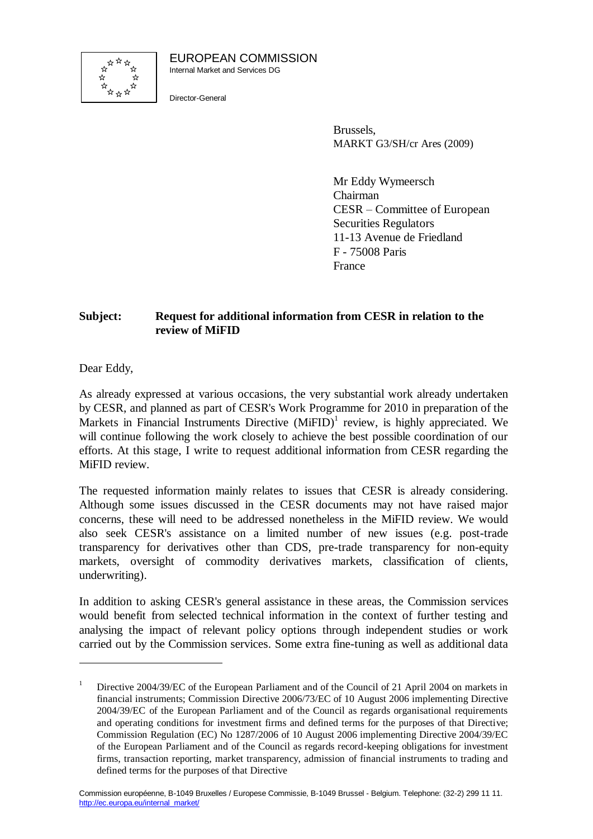

EUROPEAN COMMISSION Internal Market and Services DG

Director-General

Brussels, MARKT G3/SH/cr Ares (2009)

Mr Eddy Wymeersch Chairman CESR – Committee of European Securities Regulators 11-13 Avenue de Friedland F - 75008 Paris France

# **Subject: Request for additional information from CESR in relation to the review of MiFID**

Dear Eddy,

1

As already expressed at various occasions, the very substantial work already undertaken by CESR, and planned as part of CESR's Work Programme for 2010 in preparation of the Markets in Financial Instruments Directive  $(MiFID)^1$  review, is highly appreciated. We will continue following the work closely to achieve the best possible coordination of our efforts. At this stage, I write to request additional information from CESR regarding the MiFID review.

The requested information mainly relates to issues that CESR is already considering. Although some issues discussed in the CESR documents may not have raised major concerns, these will need to be addressed nonetheless in the MiFID review. We would also seek CESR's assistance on a limited number of new issues (e.g. post-trade transparency for derivatives other than CDS, pre-trade transparency for non-equity markets, oversight of commodity derivatives markets, classification of clients, underwriting).

In addition to asking CESR's general assistance in these areas, the Commission services would benefit from selected technical information in the context of further testing and analysing the impact of relevant policy options through independent studies or work carried out by the Commission services. Some extra fine-tuning as well as additional data

<sup>&</sup>lt;sup>1</sup> Directive 2004/39/EC of the European Parliament and of the Council of 21 April 2004 on markets in financial instruments; Commission Directive 2006/73/EC of 10 August 2006 implementing Directive 2004/39/EC of the European Parliament and of the Council as regards organisational requirements and operating conditions for investment firms and defined terms for the purposes of that Directive; Commission Regulation (EC) No 1287/2006 of 10 August 2006 implementing Directive 2004/39/EC of the European Parliament and of the Council as regards record-keeping obligations for investment firms, transaction reporting, market transparency, admission of financial instruments to trading and defined terms for the purposes of that Directive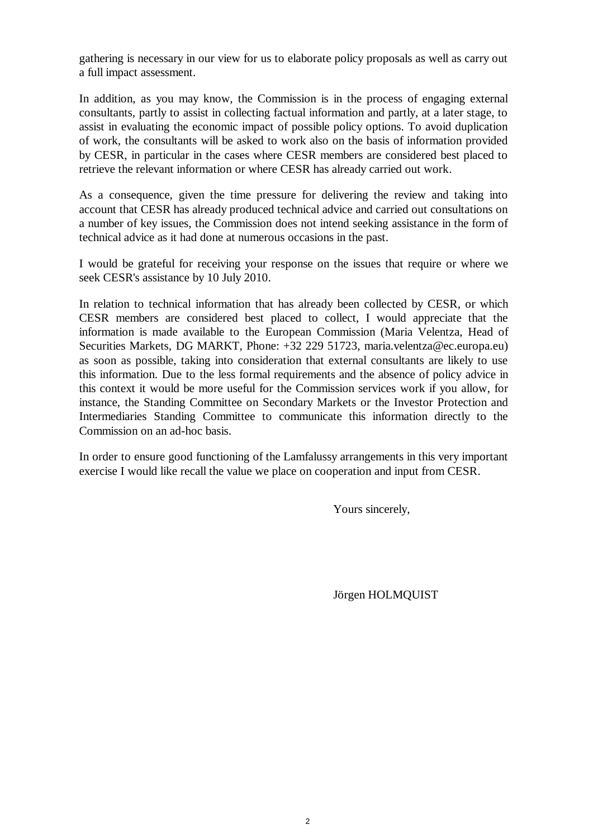gathering is necessary in our view for us to elaborate policy proposals as well as carry out a full impact assessment.

In addition, as you may know, the Commission is in the process of engaging external consultants, partly to assist in collecting factual information and partly, at a later stage, to assist in evaluating the economic impact of possible policy options. To avoid duplication of work, the consultants will be asked to work also on the basis of information provided by CESR, in particular in the cases where CESR members are considered best placed to retrieve the relevant information or where CESR has already carried out work.

As a consequence, given the time pressure for delivering the review and taking into account that CESR has already produced technical advice and carried out consultations on a number of key issues, the Commission does not intend seeking assistance in the form of technical advice as it had done at numerous occasions in the past.

I would be grateful for receiving your response on the issues that require or where we seek CESR's assistance by 10 July 2010.

In relation to technical information that has already been collected by CESR, or which CESR members are considered best placed to collect, I would appreciate that the information is made available to the European Commission (Maria Velentza, Head of Securities Markets, DG MARKT, Phone: +32 229 51723, maria.velentza@ec.europa.eu) as soon as possible, taking into consideration that external consultants are likely to use this information. Due to the less formal requirements and the absence of policy advice in this context it would be more useful for the Commission services work if you allow, for instance, the Standing Committee on Secondary Markets or the Investor Protection and Intermediaries Standing Committee to communicate this information directly to the Commission on an ad-hoc basis.

In order to ensure good functioning of the Lamfalussy arrangements in this very important exercise I would like recall the value we place on cooperation and input from CESR.

Yours sincerely,

Jörgen HOLMQUIST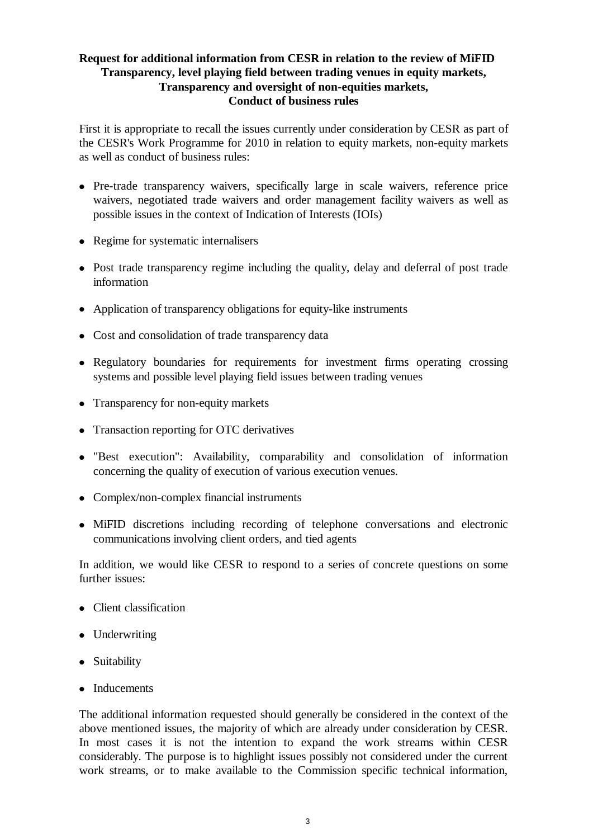## **Request for additional information from CESR in relation to the review of MiFID Transparency, level playing field between trading venues in equity markets, Transparency and oversight of non-equities markets, Conduct of business rules**

First it is appropriate to recall the issues currently under consideration by CESR as part of the CESR's Work Programme for 2010 in relation to equity markets, non-equity markets as well as conduct of business rules:

- Pre-trade transparency waivers, specifically large in scale waivers, reference price waivers, negotiated trade waivers and order management facility waivers as well as possible issues in the context of Indication of Interests (IOIs)
- Regime for systematic internalisers
- Post trade transparency regime including the quality, delay and deferral of post trade information
- Application of transparency obligations for equity-like instruments
- Cost and consolidation of trade transparency data
- Regulatory boundaries for requirements for investment firms operating crossing systems and possible level playing field issues between trading venues
- Transparency for non-equity markets
- Transaction reporting for OTC derivatives
- "Best execution": Availability, comparability and consolidation of information concerning the quality of execution of various execution venues.
- Complex/non-complex financial instruments
- MiFID discretions including recording of telephone conversations and electronic communications involving client orders, and tied agents

In addition, we would like CESR to respond to a series of concrete questions on some further issues:

- Client classification
- Underwriting
- Suitability
- Inducements

The additional information requested should generally be considered in the context of the above mentioned issues, the majority of which are already under consideration by CESR. In most cases it is not the intention to expand the work streams within CESR considerably. The purpose is to highlight issues possibly not considered under the current work streams, or to make available to the Commission specific technical information,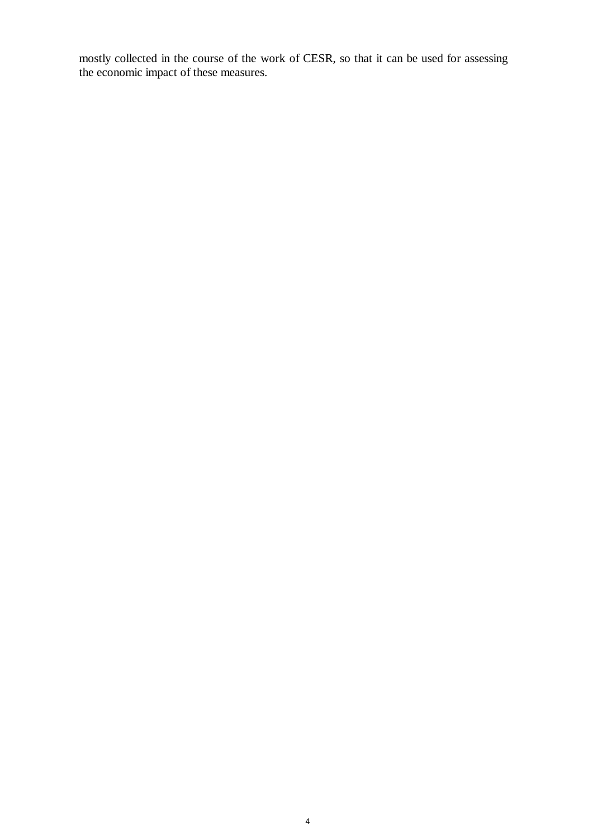mostly collected in the course of the work of CESR, so that it can be used for assessing the economic impact of these measures.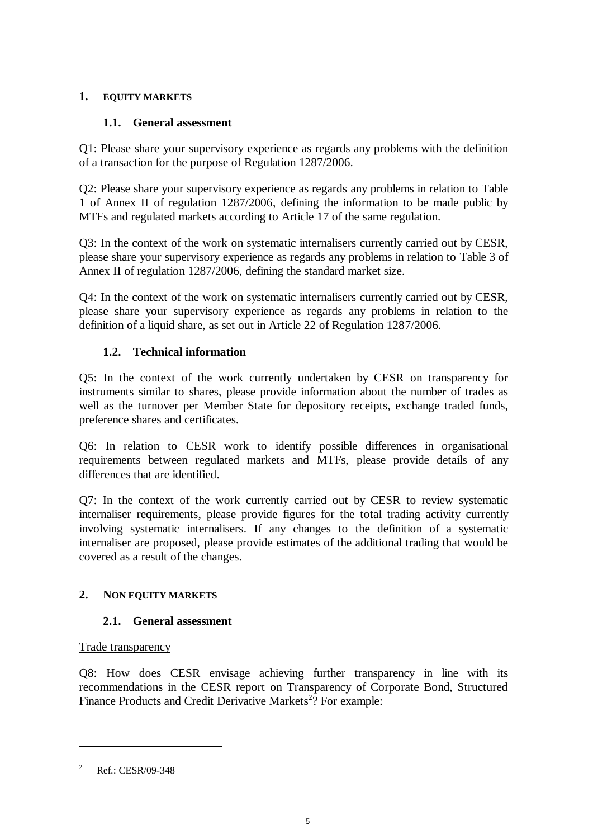### **1. EQUITY MARKETS**

## **1.1. General assessment**

Q1: Please share your supervisory experience as regards any problems with the definition of a transaction for the purpose of Regulation 1287/2006.

Q2: Please share your supervisory experience as regards any problems in relation to Table 1 of Annex II of regulation 1287/2006, defining the information to be made public by MTFs and regulated markets according to Article 17 of the same regulation.

Q3: In the context of the work on systematic internalisers currently carried out by CESR, please share your supervisory experience as regards any problems in relation to Table 3 of Annex II of regulation 1287/2006, defining the standard market size.

Q4: In the context of the work on systematic internalisers currently carried out by CESR, please share your supervisory experience as regards any problems in relation to the definition of a liquid share, as set out in Article 22 of Regulation 1287/2006.

# **1.2. Technical information**

Q5: In the context of the work currently undertaken by CESR on transparency for instruments similar to shares, please provide information about the number of trades as well as the turnover per Member State for depository receipts, exchange traded funds, preference shares and certificates.

Q6: In relation to CESR work to identify possible differences in organisational requirements between regulated markets and MTFs, please provide details of any differences that are identified.

Q7: In the context of the work currently carried out by CESR to review systematic internaliser requirements, please provide figures for the total trading activity currently involving systematic internalisers. If any changes to the definition of a systematic internaliser are proposed, please provide estimates of the additional trading that would be covered as a result of the changes.

## **2. NON EQUITY MARKETS**

## **2.1. General assessment**

## Trade transparency

Q8: How does CESR envisage achieving further transparency in line with its recommendations in the CESR report on Transparency of Corporate Bond, Structured Finance Products and Credit Derivative Markets<sup>2</sup>? For example:

<sup>&</sup>lt;sup>2</sup> Ref.: CESR/09-348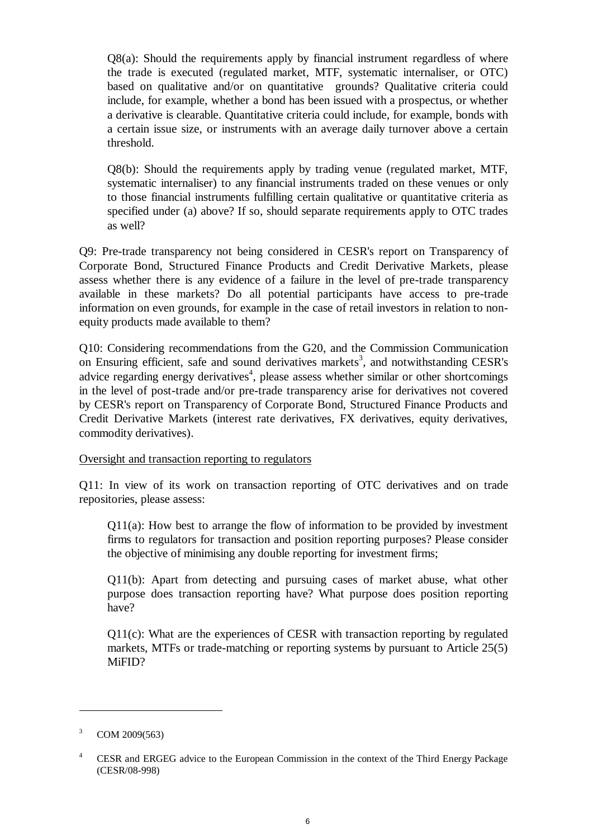Q8(a): Should the requirements apply by financial instrument regardless of where the trade is executed (regulated market, MTF, systematic internaliser, or OTC) based on qualitative and/or on quantitative grounds? Qualitative criteria could include, for example, whether a bond has been issued with a prospectus, or whether a derivative is clearable. Quantitative criteria could include, for example, bonds with a certain issue size, or instruments with an average daily turnover above a certain threshold.

Q8(b): Should the requirements apply by trading venue (regulated market, MTF, systematic internaliser) to any financial instruments traded on these venues or only to those financial instruments fulfilling certain qualitative or quantitative criteria as specified under (a) above? If so, should separate requirements apply to OTC trades as well?

Q9: Pre-trade transparency not being considered in CESR's report on Transparency of Corporate Bond, Structured Finance Products and Credit Derivative Markets, please assess whether there is any evidence of a failure in the level of pre-trade transparency available in these markets? Do all potential participants have access to pre-trade information on even grounds, for example in the case of retail investors in relation to nonequity products made available to them?

Q10: Considering recommendations from the G20, and the Commission Communication on Ensuring efficient, safe and sound derivatives markets<sup>3</sup>, and notwithstanding CESR's advice regarding energy derivatives<sup>4</sup>, please assess whether similar or other shortcomings in the level of post-trade and/or pre-trade transparency arise for derivatives not covered by CESR's report on Transparency of Corporate Bond, Structured Finance Products and Credit Derivative Markets (interest rate derivatives, FX derivatives, equity derivatives, commodity derivatives).

Oversight and transaction reporting to regulators

Q11: In view of its work on transaction reporting of OTC derivatives and on trade repositories, please assess:

 $Q11(a)$ : How best to arrange the flow of information to be provided by investment firms to regulators for transaction and position reporting purposes? Please consider the objective of minimising any double reporting for investment firms;

Q11(b): Apart from detecting and pursuing cases of market abuse, what other purpose does transaction reporting have? What purpose does position reporting have?

Q11(c): What are the experiences of CESR with transaction reporting by regulated markets, MTFs or trade-matching or reporting systems by pursuant to Article 25(5) MiFID?

 $3$  COM 2009(563)

<sup>&</sup>lt;sup>4</sup> CESR and ERGEG advice to the European Commission in the context of the Third Energy Package (CESR/08-998)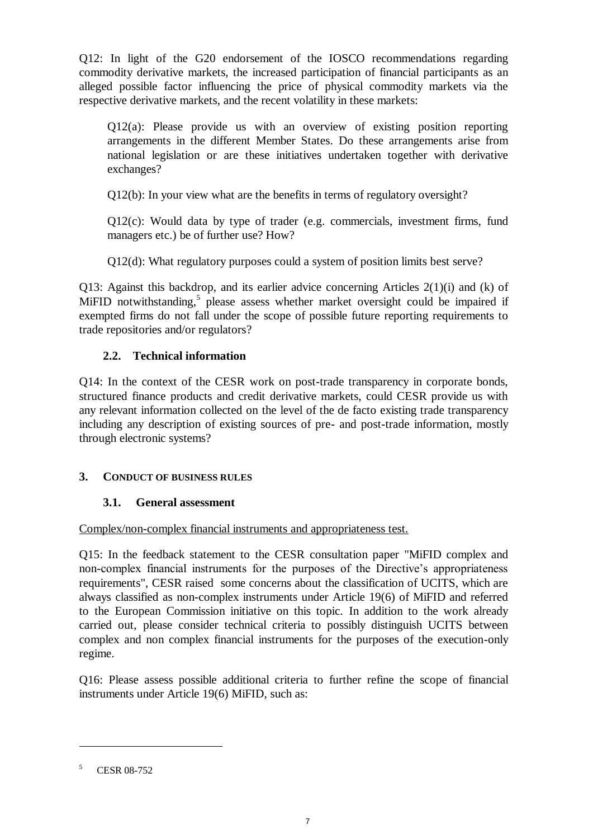Q12: In light of the G20 endorsement of the IOSCO recommendations regarding commodity derivative markets, the increased participation of financial participants as an alleged possible factor influencing the price of physical commodity markets via the respective derivative markets, and the recent volatility in these markets:

Q12(a): Please provide us with an overview of existing position reporting arrangements in the different Member States. Do these arrangements arise from national legislation or are these initiatives undertaken together with derivative exchanges?

Q12(b): In your view what are the benefits in terms of regulatory oversight?

 $Q12(c)$ : Would data by type of trader (e.g. commercials, investment firms, fund managers etc.) be of further use? How?

Q12(d): What regulatory purposes could a system of position limits best serve?

Q13: Against this backdrop, and its earlier advice concerning Articles 2(1)(i) and (k) of MiFID notwithstanding,<sup>5</sup> please assess whether market oversight could be impaired if exempted firms do not fall under the scope of possible future reporting requirements to trade repositories and/or regulators?

# **2.2. Technical information**

Q14: In the context of the CESR work on post-trade transparency in corporate bonds, structured finance products and credit derivative markets, could CESR provide us with any relevant information collected on the level of the de facto existing trade transparency including any description of existing sources of pre- and post-trade information, mostly through electronic systems?

## **3. CONDUCT OF BUSINESS RULES**

## **3.1. General assessment**

#### Complex/non-complex financial instruments and appropriateness test.

Q15: In the feedback statement to the CESR consultation paper "MiFID complex and non-complex financial instruments for the purposes of the Directive's appropriateness requirements", CESR raised some concerns about the classification of UCITS, which are always classified as non-complex instruments under Article 19(6) of MiFID and referred to the European Commission initiative on this topic. In addition to the work already carried out, please consider technical criteria to possibly distinguish UCITS between complex and non complex financial instruments for the purposes of the execution-only regime.

Q16: Please assess possible additional criteria to further refine the scope of financial instruments under Article 19(6) MiFID, such as:

<sup>5</sup> CESR 08-752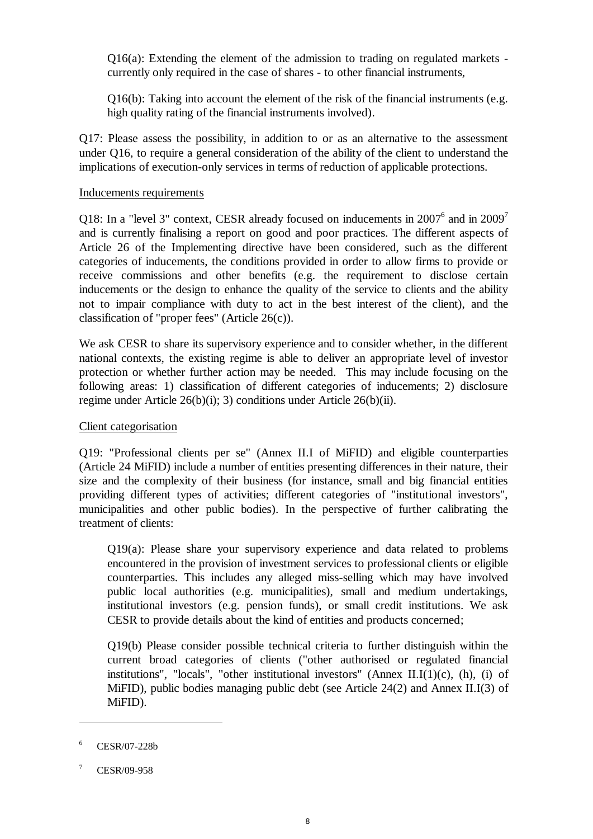$Q16(a)$ : Extending the element of the admission to trading on regulated markets currently only required in the case of shares - to other financial instruments,

Q16(b): Taking into account the element of the risk of the financial instruments (e.g. high quality rating of the financial instruments involved).

Q17: Please assess the possibility, in addition to or as an alternative to the assessment under Q16, to require a general consideration of the ability of the client to understand the implications of execution-only services in terms of reduction of applicable protections.

#### Inducements requirements

Q18: In a "level 3" context, CESR already focused on inducements in  $2007^6$  and in  $2009^7$ and is currently finalising a report on good and poor practices. The different aspects of Article 26 of the Implementing directive have been considered, such as the different categories of inducements, the conditions provided in order to allow firms to provide or receive commissions and other benefits (e.g. the requirement to disclose certain inducements or the design to enhance the quality of the service to clients and the ability not to impair compliance with duty to act in the best interest of the client), and the classification of "proper fees" (Article 26(c)).

We ask CESR to share its supervisory experience and to consider whether, in the different national contexts, the existing regime is able to deliver an appropriate level of investor protection or whether further action may be needed. This may include focusing on the following areas: 1) classification of different categories of inducements; 2) disclosure regime under Article 26(b)(i); 3) conditions under Article 26(b)(ii).

#### Client categorisation

Q19: "Professional clients per se" (Annex II.I of MiFID) and eligible counterparties (Article 24 MiFID) include a number of entities presenting differences in their nature, their size and the complexity of their business (for instance, small and big financial entities providing different types of activities; different categories of "institutional investors", municipalities and other public bodies). In the perspective of further calibrating the treatment of clients:

Q19(a): Please share your supervisory experience and data related to problems encountered in the provision of investment services to professional clients or eligible counterparties. This includes any alleged miss-selling which may have involved public local authorities (e.g. municipalities), small and medium undertakings, institutional investors (e.g. pension funds), or small credit institutions. We ask CESR to provide details about the kind of entities and products concerned;

Q19(b) Please consider possible technical criteria to further distinguish within the current broad categories of clients ("other authorised or regulated financial institutions", "locals", "other institutional investors" (Annex II.I $(1)(c)$ ,  $(h)$ ,  $(i)$  of MiFID), public bodies managing public debt (see Article 24(2) and Annex II.I(3) of MiFID).

<sup>6</sup> CESR/07-228b

<sup>7</sup> CESR/09-958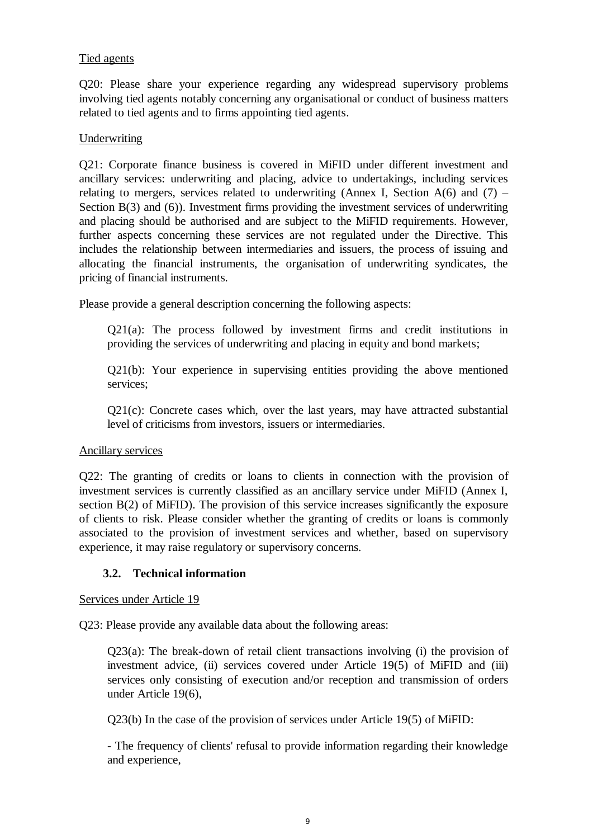### Tied agents

Q20: Please share your experience regarding any widespread supervisory problems involving tied agents notably concerning any organisational or conduct of business matters related to tied agents and to firms appointing tied agents.

#### **Underwriting**

Q21: Corporate finance business is covered in MiFID under different investment and ancillary services: underwriting and placing, advice to undertakings, including services relating to mergers, services related to underwriting (Annex I, Section  $A(6)$  and  $(7)$  – Section B(3) and (6)). Investment firms providing the investment services of underwriting and placing should be authorised and are subject to the MiFID requirements. However, further aspects concerning these services are not regulated under the Directive. This includes the relationship between intermediaries and issuers, the process of issuing and allocating the financial instruments, the organisation of underwriting syndicates, the pricing of financial instruments.

Please provide a general description concerning the following aspects:

Q21(a): The process followed by investment firms and credit institutions in providing the services of underwriting and placing in equity and bond markets;

Q21(b): Your experience in supervising entities providing the above mentioned services;

Q21(c): Concrete cases which, over the last years, may have attracted substantial level of criticisms from investors, issuers or intermediaries.

#### Ancillary services

Q22: The granting of credits or loans to clients in connection with the provision of investment services is currently classified as an ancillary service under MiFID (Annex I, section B(2) of MiFID). The provision of this service increases significantly the exposure of clients to risk. Please consider whether the granting of credits or loans is commonly associated to the provision of investment services and whether, based on supervisory experience, it may raise regulatory or supervisory concerns.

#### **3.2. Technical information**

Services under Article 19

Q23: Please provide any available data about the following areas:

Q23(a): The break-down of retail client transactions involving (i) the provision of investment advice, (ii) services covered under Article 19(5) of MiFID and (iii) services only consisting of execution and/or reception and transmission of orders under Article 19(6),

Q23(b) In the case of the provision of services under Article 19(5) of MiFID:

- The frequency of clients' refusal to provide information regarding their knowledge and experience,